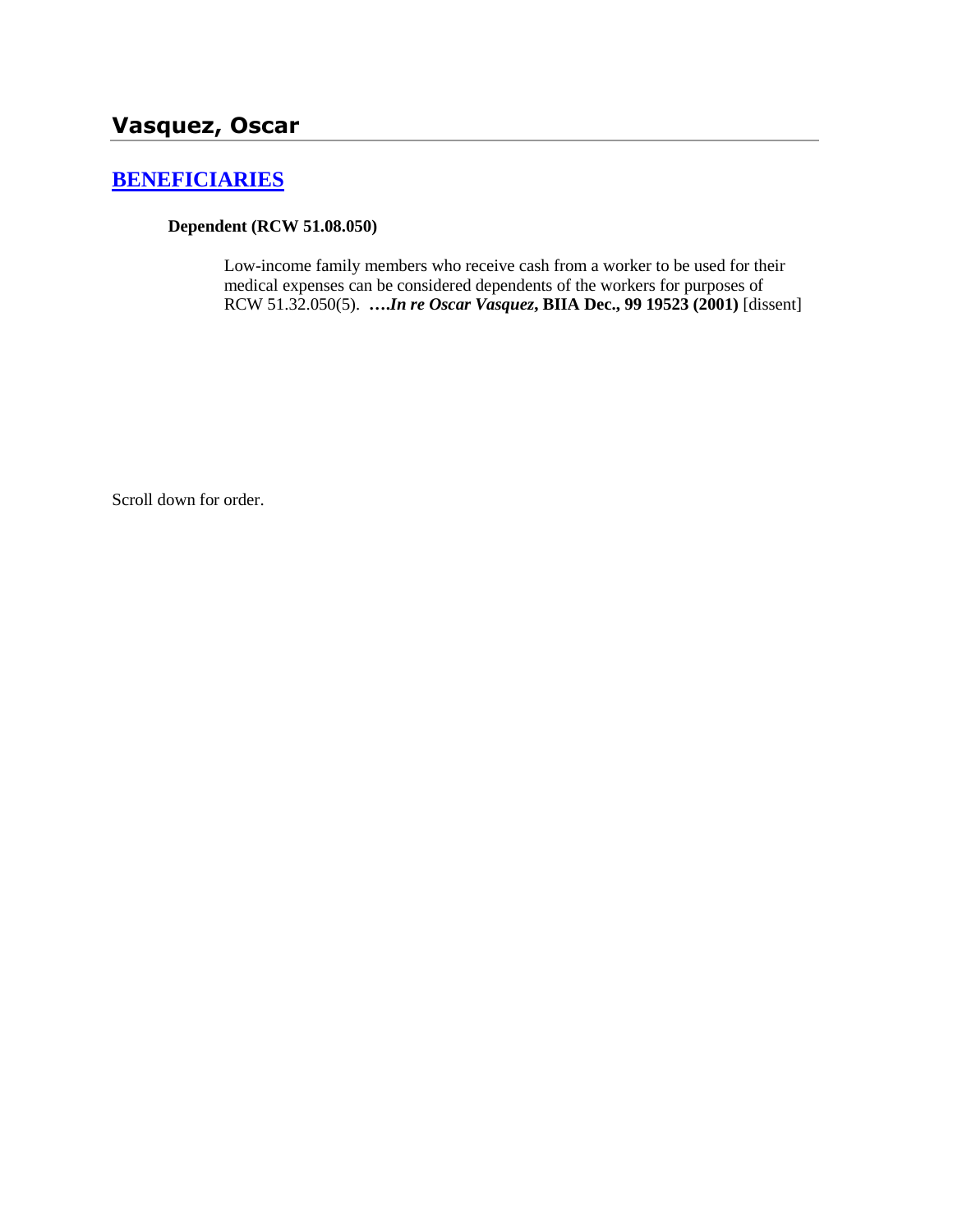# **[BENEFICIARIES](http://www.biia.wa.gov/SDSubjectIndex.html#BENEFICIARIES)**

## **Dependent (RCW 51.08.050)**

Low-income family members who receive cash from a worker to be used for their medical expenses can be considered dependents of the workers for purposes of RCW 51.32.050(5). **….***In re Oscar Vasquez***, BIIA Dec., 99 19523 (2001)** [dissent]

Scroll down for order.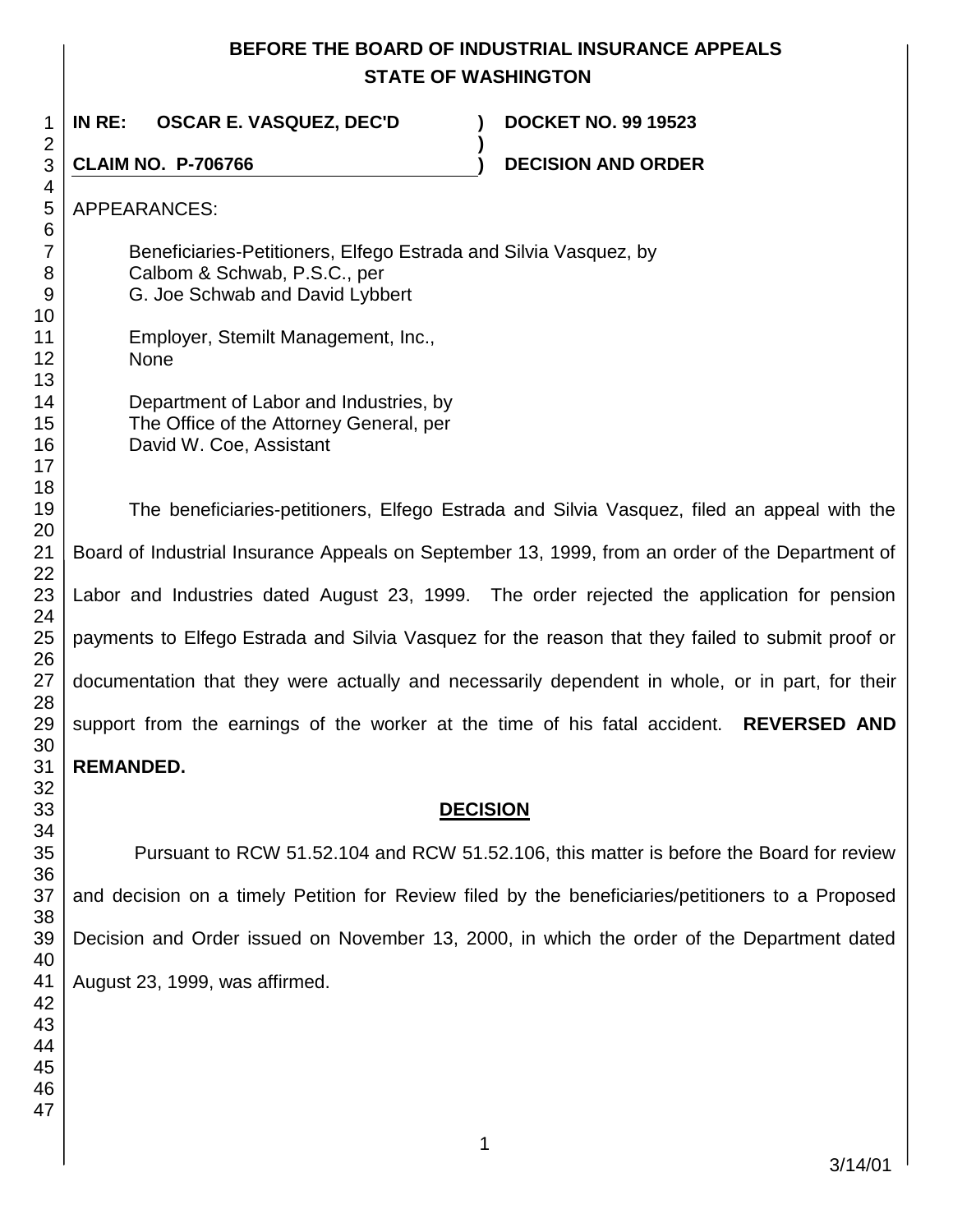# **BEFORE THE BOARD OF INDUSTRIAL INSURANCE APPEALS STATE OF WASHINGTON**

**)**

Beneficiaries-Petitioners, Elfego Estrada and Silvia Vasquez, by

 **IN RE: OSCAR E. VASQUEZ, DEC'D ) DOCKET NO. 99 19523**

> Calbom & Schwab, P.S.C., per G. Joe Schwab and David Lybbert

Employer, Stemilt Management, Inc.,

Department of Labor and Industries, by

APPEARANCES:

None

**CLAIM NO. P-706766 ) DECISION AND ORDER** 

The Office of the Attorney General, per David W. Coe, Assistant The beneficiaries-petitioners, Elfego Estrada and Silvia Vasquez, filed an appeal with the Board of Industrial Insurance Appeals on September 13, 1999, from an order of the Department of Labor and Industries dated August 23, 1999. The order rejected the application for pension payments to Elfego Estrada and Silvia Vasquez for the reason that they failed to submit proof or documentation that they were actually and necessarily dependent in whole, or in part, for their support from the earnings of the worker at the time of his fatal accident. **REVERSED AND REMANDED. DECISION**

Pursuant to RCW 51.52.104 and RCW 51.52.106, this matter is before the Board for review and decision on a timely Petition for Review filed by the beneficiaries/petitioners to a Proposed Decision and Order issued on November 13, 2000, in which the order of the Department dated August 23, 1999, was affirmed.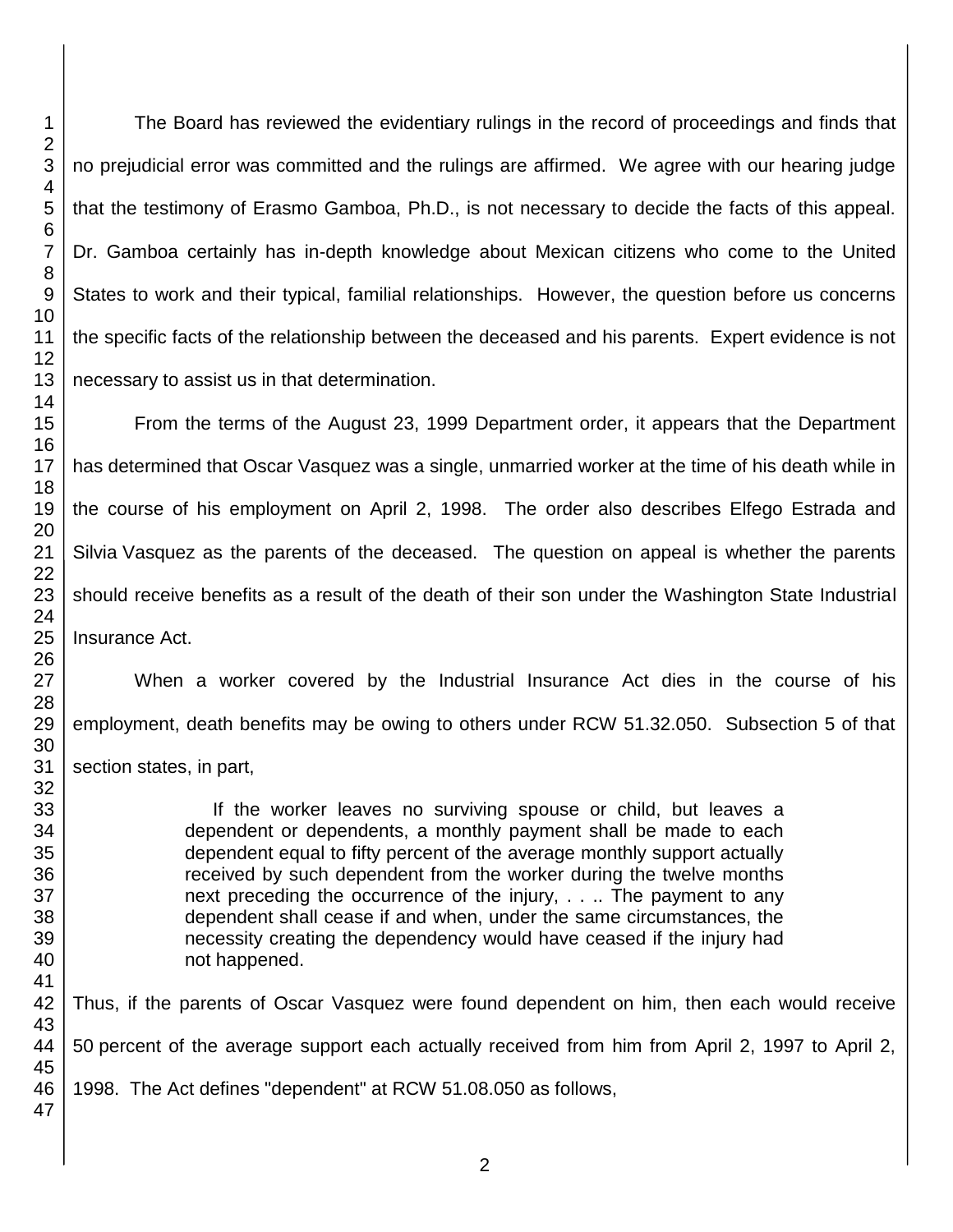The Board has reviewed the evidentiary rulings in the record of proceedings and finds that no prejudicial error was committed and the rulings are affirmed. We agree with our hearing judge that the testimony of Erasmo Gamboa, Ph.D., is not necessary to decide the facts of this appeal. Dr. Gamboa certainly has in-depth knowledge about Mexican citizens who come to the United States to work and their typical, familial relationships. However, the question before us concerns the specific facts of the relationship between the deceased and his parents. Expert evidence is not necessary to assist us in that determination.

From the terms of the August 23, 1999 Department order, it appears that the Department has determined that Oscar Vasquez was a single, unmarried worker at the time of his death while in the course of his employment on April 2, 1998. The order also describes Elfego Estrada and Silvia Vasquez as the parents of the deceased. The question on appeal is whether the parents should receive benefits as a result of the death of their son under the Washington State Industrial Insurance Act.

When a worker covered by the Industrial Insurance Act dies in the course of his employment, death benefits may be owing to others under RCW 51.32.050. Subsection 5 of that section states, in part,

> If the worker leaves no surviving spouse or child, but leaves a dependent or dependents, a monthly payment shall be made to each dependent equal to fifty percent of the average monthly support actually received by such dependent from the worker during the twelve months next preceding the occurrence of the injury, . . .. The payment to any dependent shall cease if and when, under the same circumstances, the necessity creating the dependency would have ceased if the injury had not happened.

Thus, if the parents of Oscar Vasquez were found dependent on him, then each would receive percent of the average support each actually received from him from April 2, 1997 to April 2, 1998. The Act defines "dependent" at RCW 51.08.050 as follows,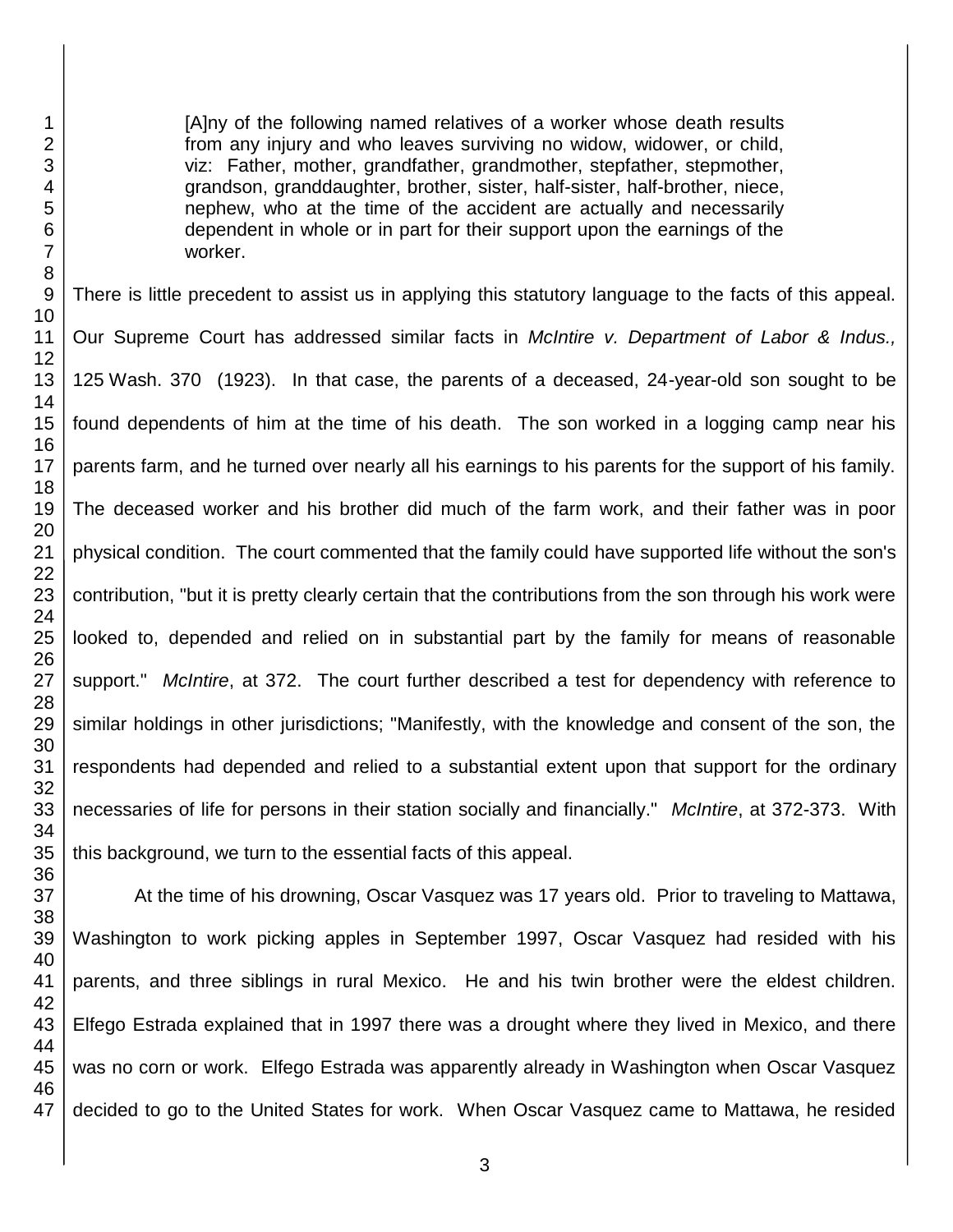[A]ny of the following named relatives of a worker whose death results from any injury and who leaves surviving no widow, widower, or child, viz: Father, mother, grandfather, grandmother, stepfather, stepmother, grandson, granddaughter, brother, sister, half-sister, half-brother, niece, nephew, who at the time of the accident are actually and necessarily dependent in whole or in part for their support upon the earnings of the worker.

There is little precedent to assist us in applying this statutory language to the facts of this appeal. Our Supreme Court has addressed similar facts in *McIntire v. Department of Labor & Indus.,*  Wash. 370 (1923). In that case, the parents of a deceased, 24-year-old son sought to be found dependents of him at the time of his death. The son worked in a logging camp near his parents farm, and he turned over nearly all his earnings to his parents for the support of his family. The deceased worker and his brother did much of the farm work, and their father was in poor physical condition. The court commented that the family could have supported life without the son's contribution, "but it is pretty clearly certain that the contributions from the son through his work were looked to, depended and relied on in substantial part by the family for means of reasonable support." *McIntire*, at 372. The court further described a test for dependency with reference to similar holdings in other jurisdictions; "Manifestly, with the knowledge and consent of the son, the respondents had depended and relied to a substantial extent upon that support for the ordinary necessaries of life for persons in their station socially and financially." *McIntire*, at 372-373. With this background, we turn to the essential facts of this appeal.

At the time of his drowning, Oscar Vasquez was 17 years old. Prior to traveling to Mattawa, Washington to work picking apples in September 1997, Oscar Vasquez had resided with his parents, and three siblings in rural Mexico. He and his twin brother were the eldest children. Elfego Estrada explained that in 1997 there was a drought where they lived in Mexico, and there was no corn or work. Elfego Estrada was apparently already in Washington when Oscar Vasquez decided to go to the United States for work. When Oscar Vasquez came to Mattawa, he resided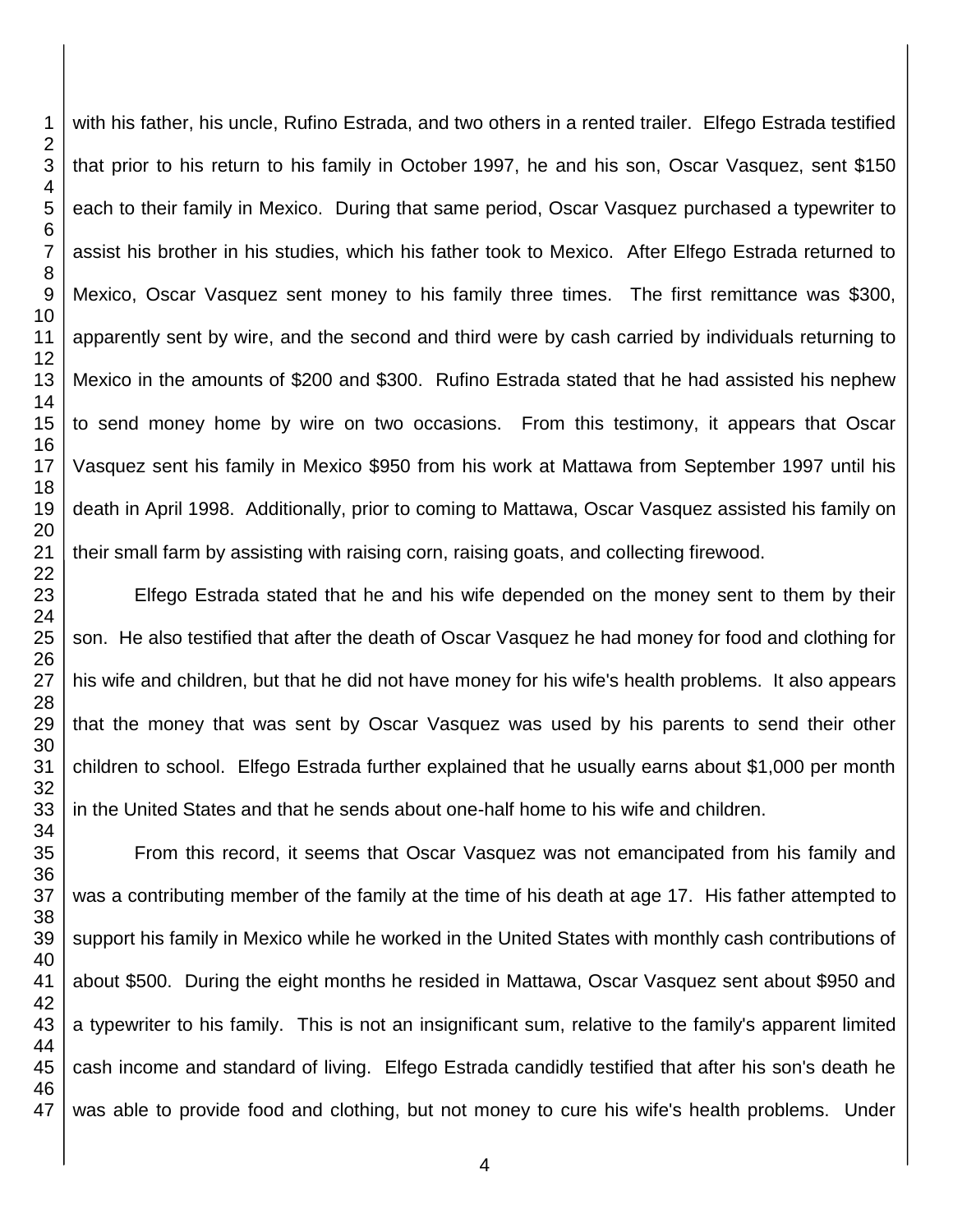with his father, his uncle, Rufino Estrada, and two others in a rented trailer. Elfego Estrada testified that prior to his return to his family in October 1997, he and his son, Oscar Vasquez, sent \$150 each to their family in Mexico. During that same period, Oscar Vasquez purchased a typewriter to assist his brother in his studies, which his father took to Mexico. After Elfego Estrada returned to Mexico, Oscar Vasquez sent money to his family three times. The first remittance was \$300, apparently sent by wire, and the second and third were by cash carried by individuals returning to Mexico in the amounts of \$200 and \$300. Rufino Estrada stated that he had assisted his nephew to send money home by wire on two occasions. From this testimony, it appears that Oscar Vasquez sent his family in Mexico \$950 from his work at Mattawa from September 1997 until his death in April 1998. Additionally, prior to coming to Mattawa, Oscar Vasquez assisted his family on their small farm by assisting with raising corn, raising goats, and collecting firewood.

Elfego Estrada stated that he and his wife depended on the money sent to them by their son. He also testified that after the death of Oscar Vasquez he had money for food and clothing for his wife and children, but that he did not have money for his wife's health problems. It also appears that the money that was sent by Oscar Vasquez was used by his parents to send their other children to school. Elfego Estrada further explained that he usually earns about \$1,000 per month in the United States and that he sends about one-half home to his wife and children.

From this record, it seems that Oscar Vasquez was not emancipated from his family and was a contributing member of the family at the time of his death at age 17. His father attempted to support his family in Mexico while he worked in the United States with monthly cash contributions of about \$500. During the eight months he resided in Mattawa, Oscar Vasquez sent about \$950 and a typewriter to his family. This is not an insignificant sum, relative to the family's apparent limited cash income and standard of living. Elfego Estrada candidly testified that after his son's death he was able to provide food and clothing, but not money to cure his wife's health problems. Under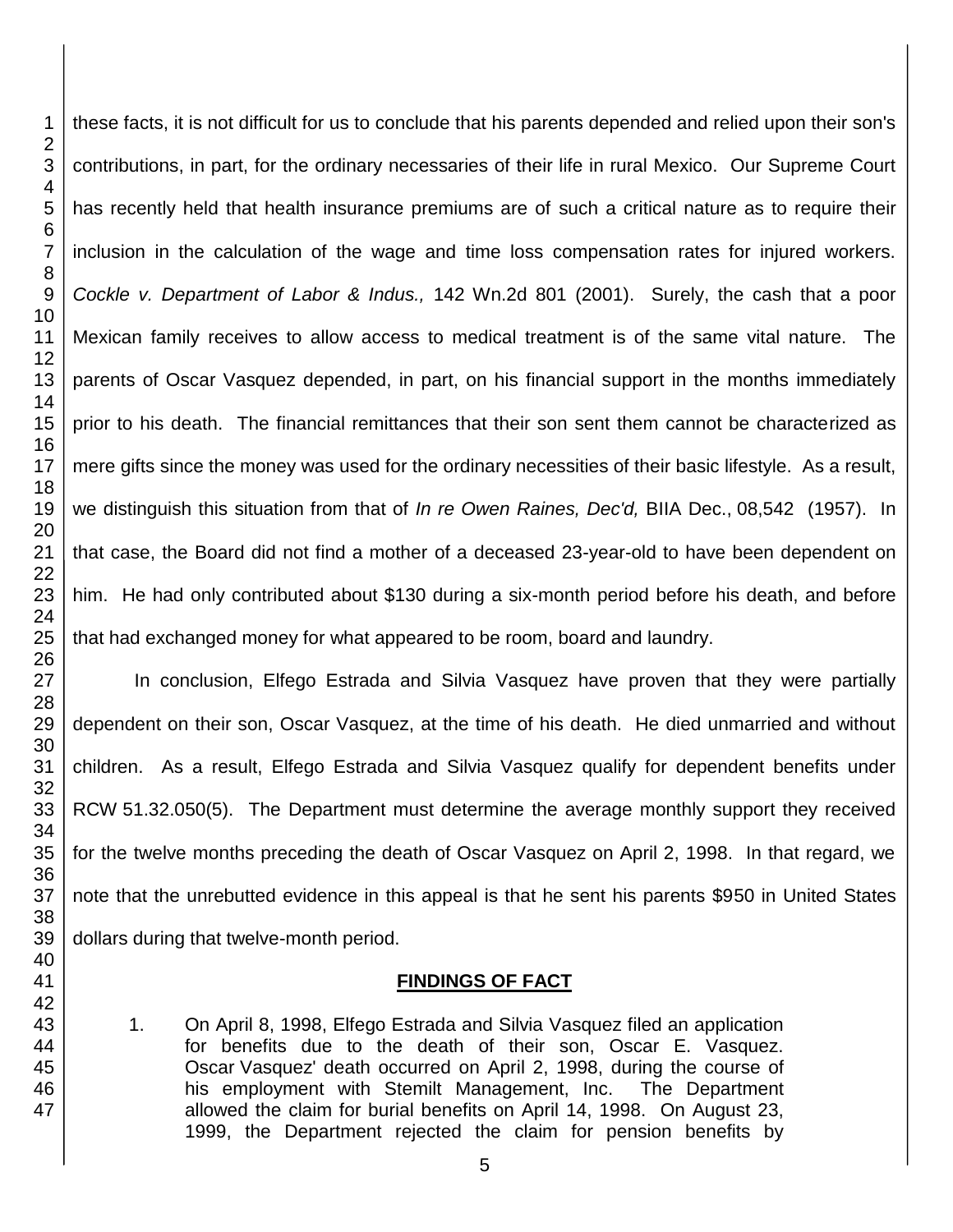these facts, it is not difficult for us to conclude that his parents depended and relied upon their son's contributions, in part, for the ordinary necessaries of their life in rural Mexico. Our Supreme Court has recently held that health insurance premiums are of such a critical nature as to require their inclusion in the calculation of the wage and time loss compensation rates for injured workers. *Cockle v. Department of Labor & Indus.,* 142 Wn.2d 801 (2001). Surely, the cash that a poor Mexican family receives to allow access to medical treatment is of the same vital nature. The parents of Oscar Vasquez depended, in part, on his financial support in the months immediately prior to his death. The financial remittances that their son sent them cannot be characterized as mere gifts since the money was used for the ordinary necessities of their basic lifestyle. As a result, we distinguish this situation from that of *In re Owen Raines, Dec'd,* BIIA Dec., 08,542 (1957). In that case, the Board did not find a mother of a deceased 23-year-old to have been dependent on him. He had only contributed about \$130 during a six-month period before his death, and before that had exchanged money for what appeared to be room, board and laundry.

In conclusion, Elfego Estrada and Silvia Vasquez have proven that they were partially dependent on their son, Oscar Vasquez, at the time of his death. He died unmarried and without children. As a result, Elfego Estrada and Silvia Vasquez qualify for dependent benefits under RCW 51.32.050(5). The Department must determine the average monthly support they received for the twelve months preceding the death of Oscar Vasquez on April 2, 1998. In that regard, we note that the unrebutted evidence in this appeal is that he sent his parents \$950 in United States dollars during that twelve-month period.

# **FINDINGS OF FACT**

1. On April 8, 1998, Elfego Estrada and Silvia Vasquez filed an application for benefits due to the death of their son, Oscar E. Vasquez. Oscar Vasquez' death occurred on April 2, 1998, during the course of his employment with Stemilt Management, Inc. The Department allowed the claim for burial benefits on April 14, 1998. On August 23, 1999, the Department rejected the claim for pension benefits by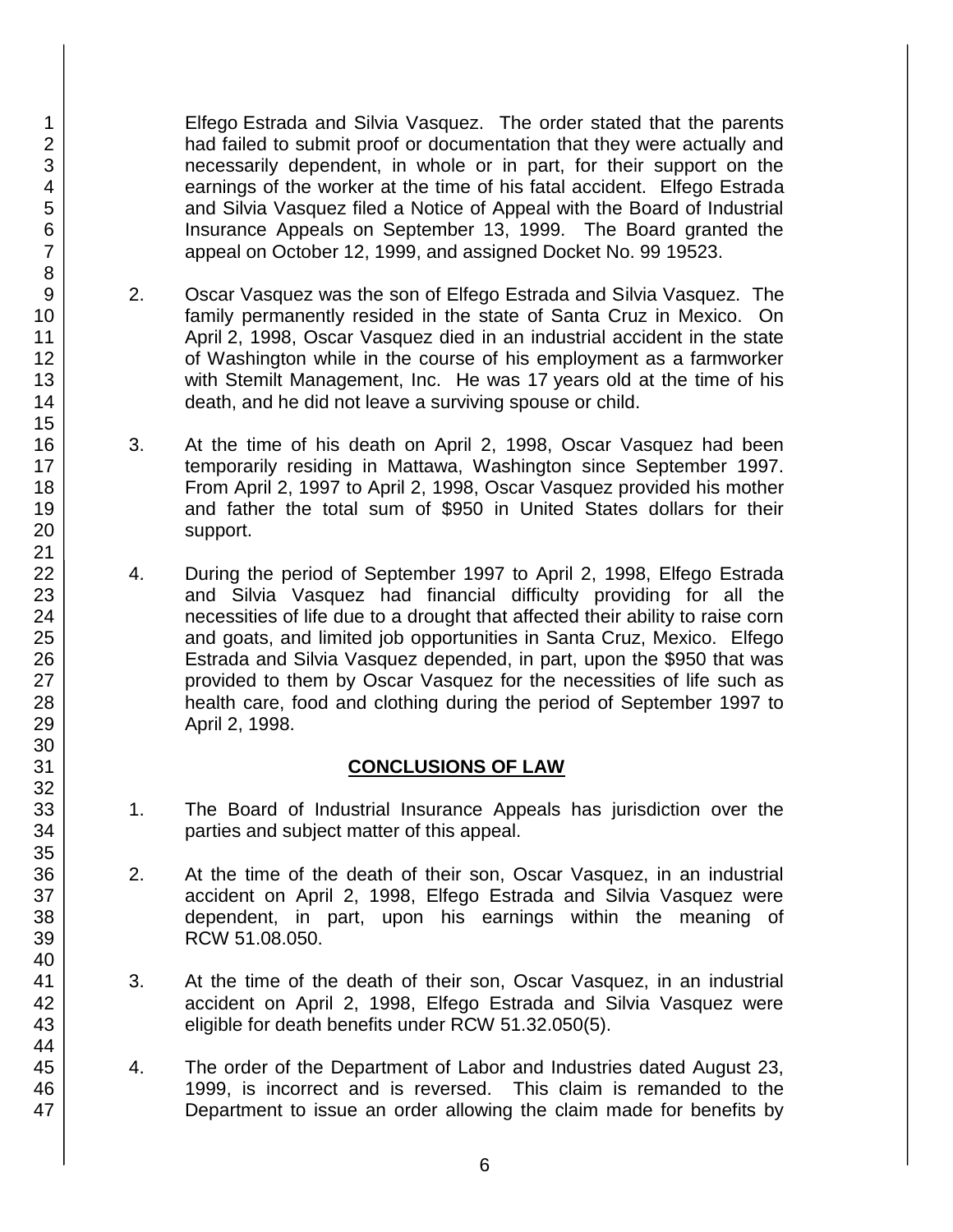Elfego Estrada and Silvia Vasquez. The order stated that the parents had failed to submit proof or documentation that they were actually and necessarily dependent, in whole or in part, for their support on the earnings of the worker at the time of his fatal accident. Elfego Estrada and Silvia Vasquez filed a Notice of Appeal with the Board of Industrial Insurance Appeals on September 13, 1999. The Board granted the appeal on October 12, 1999, and assigned Docket No. 99 19523.

- 2. Oscar Vasquez was the son of Elfego Estrada and Silvia Vasquez. The family permanently resided in the state of Santa Cruz in Mexico. On April 2, 1998, Oscar Vasquez died in an industrial accident in the state of Washington while in the course of his employment as a farmworker with Stemilt Management, Inc. He was 17 years old at the time of his death, and he did not leave a surviving spouse or child.
- 3. At the time of his death on April 2, 1998, Oscar Vasquez had been temporarily residing in Mattawa, Washington since September 1997. From April 2, 1997 to April 2, 1998, Oscar Vasquez provided his mother and father the total sum of \$950 in United States dollars for their support.
- 4. During the period of September 1997 to April 2, 1998, Elfego Estrada and Silvia Vasquez had financial difficulty providing for all the necessities of life due to a drought that affected their ability to raise corn and goats, and limited job opportunities in Santa Cruz, Mexico. Elfego Estrada and Silvia Vasquez depended, in part, upon the \$950 that was provided to them by Oscar Vasquez for the necessities of life such as health care, food and clothing during the period of September 1997 to April 2, 1998.

# **CONCLUSIONS OF LAW**

- 1. The Board of Industrial Insurance Appeals has jurisdiction over the parties and subject matter of this appeal.
- 2. At the time of the death of their son, Oscar Vasquez, in an industrial accident on April 2, 1998, Elfego Estrada and Silvia Vasquez were dependent, in part, upon his earnings within the meaning of RCW 51.08.050.
- 3. At the time of the death of their son, Oscar Vasquez, in an industrial accident on April 2, 1998, Elfego Estrada and Silvia Vasquez were eligible for death benefits under RCW 51.32.050(5).
- 4. The order of the Department of Labor and Industries dated August 23, 1999, is incorrect and is reversed. This claim is remanded to the Department to issue an order allowing the claim made for benefits by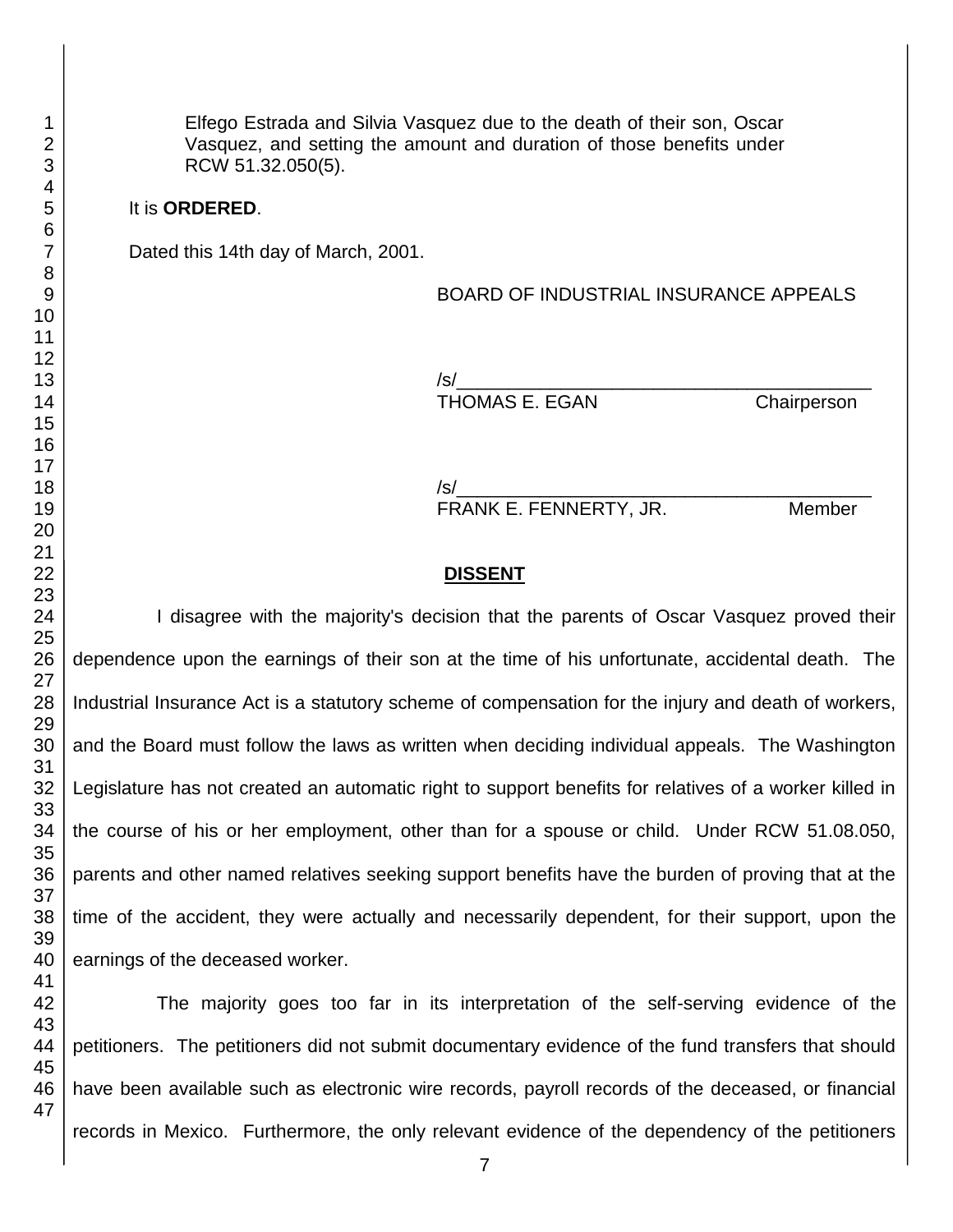Elfego Estrada and Silvia Vasquez due to the death of their son, Oscar Vasquez, and setting the amount and duration of those benefits under RCW 51.32.050(5).

## It is **ORDERED**.

Dated this 14th day of March, 2001.

## BOARD OF INDUSTRIAL INSURANCE APPEALS

/s/\_\_\_\_\_\_\_\_\_\_\_\_\_\_\_\_\_\_\_\_\_\_\_\_\_\_\_\_\_\_\_\_\_\_\_\_\_\_\_\_ THOMAS E. EGAN Chairperson

/s/\_\_\_\_\_\_\_\_\_\_\_\_\_\_\_\_\_\_\_\_\_\_\_\_\_\_\_\_\_\_\_\_\_\_\_\_\_\_\_\_ FRANK E. FENNERTY, JR. Member

## **DISSENT**

I disagree with the majority's decision that the parents of Oscar Vasquez proved their dependence upon the earnings of their son at the time of his unfortunate, accidental death. The Industrial Insurance Act is a statutory scheme of compensation for the injury and death of workers, and the Board must follow the laws as written when deciding individual appeals. The Washington Legislature has not created an automatic right to support benefits for relatives of a worker killed in the course of his or her employment, other than for a spouse or child. Under RCW 51.08.050, parents and other named relatives seeking support benefits have the burden of proving that at the time of the accident, they were actually and necessarily dependent, for their support, upon the earnings of the deceased worker.

The majority goes too far in its interpretation of the self-serving evidence of the petitioners. The petitioners did not submit documentary evidence of the fund transfers that should have been available such as electronic wire records, payroll records of the deceased, or financial records in Mexico. Furthermore, the only relevant evidence of the dependency of the petitioners